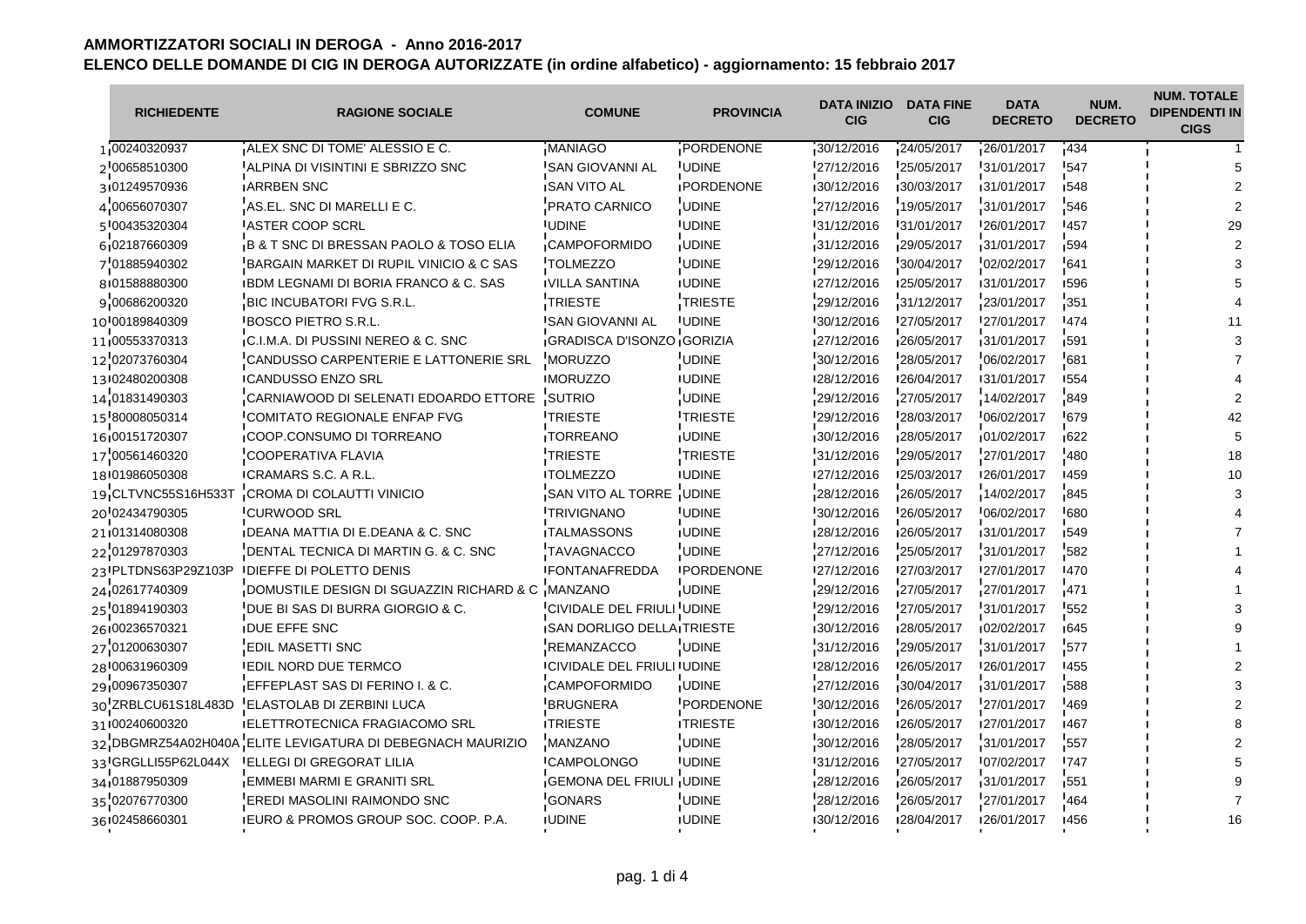| <b>RICHIEDENTE</b>  | <b>RAGIONE SOCIALE</b>                                     | <b>COMUNE</b>                     | <b>PROVINCIA</b>  | <b>DATA INIZIO</b><br><b>CIG</b> | <b>DATA FINE</b><br><b>CIG</b> | <b>DATA</b><br><b>DECRETO</b> | NUM.<br><b>DECRETO</b> | <b>NUM. TOTALE</b><br><b>DIPENDENTI IN</b><br><b>CIGS</b> |
|---------------------|------------------------------------------------------------|-----------------------------------|-------------------|----------------------------------|--------------------------------|-------------------------------|------------------------|-----------------------------------------------------------|
| 1 00240320937       | ALEX SNC DI TOME' ALESSIO E C.                             | MANIAGO <sup>-</sup>              | PORDENONE         | 30/12/2016                       | 124/05/2017                    | 26/01/2017                    | $-434$                 |                                                           |
| 2 00658510300       | ALPINA DI VISINTINI E SBRIZZO SNC                          | <b>SAN GIOVANNI AL</b>            | <b>UDINE</b>      | 27/12/2016                       | 25/05/2017                     | 31/01/2017                    | 547                    |                                                           |
| 3101249570936       | <b>IARRBEN SNC</b>                                         | <b>ISAN VITO AL</b>               | <b>IPORDENONE</b> | 130/12/2016                      | 130/03/2017                    | 131/01/2017                   | ∎548                   |                                                           |
| 4 00656070307       | AS.EL. SNC DI MARELLI E C.                                 | <b>PRATO CARNICO</b>              | <b>UDINE</b>      | 27/12/2016                       | 19/05/2017                     | 31/01/2017                    | 546                    |                                                           |
| 5 00435320304       | <b>IASTER COOP SCRL</b>                                    | <b>JUDINE</b>                     | <b>IUDINE</b>     | 31/12/2016                       | <b>131/01/2017</b>             | 126/01/2017                   | -457                   |                                                           |
| 6.02187660309       | B & T SNC DI BRESSAN PAOLO & TOSO ELIA                     | CAMPOFORMIDO                      | <b>UDINE</b>      | 31/12/2016                       | 129/05/2017                    | 31/01/2017                    | 594                    |                                                           |
| 7'01885940302       | BARGAIN MARKET DI RUPIL VINICIO & C SAS                    | <b>TOLMEZZO</b>                   | <b>UDINE</b>      | 29/12/2016                       | 30/04/2017                     | 02/02/2017                    | $-641$                 |                                                           |
| 8:01588880300       | <b>IBDM LEGNAMI DI BORIA FRANCO &amp; C. SAS</b>           | IVILLA SANTINA                    | <b>IUDINE</b>     | 127/12/2016                      | 125/05/2017                    | 131/01/2017                   | 1596                   |                                                           |
| 9'00686200320       | BIC INCUBATORI FVG S.R.L.                                  | <b>TRIESTE</b>                    | TRIESTE           | 29/12/2016                       | 31/12/2017                     | 23/01/2017                    | $351$                  |                                                           |
| 10 00189840309      | <b>IBOSCO PIETRO S.R.L.</b>                                | <b>ISAN GIOVANNI AL</b>           | <b>IUDINE</b>     | 30/12/2016                       | 27/05/2017                     | 127/01/2017                   | -474                   |                                                           |
| 11 00553370313      | C.I.M.A. DI PUSSINI NEREO & C. SNC                         | <b>GRADISCA D'ISONZO GORIZIA</b>  |                   | 27/12/2016                       | 126/05/2017                    | 31/01/2017                    | <b>591</b>             |                                                           |
| 12 02073760304      | CANDUSSO CARPENTERIE E LATTONERIE SRL                      | <b>MORUZZO</b>                    | <b>UDINE</b>      | 30/12/2016                       | 28/05/2017                     | 06/02/2017                    | 1681                   |                                                           |
| 13 02480200308      | <b>ICANDUSSO ENZO SRL</b>                                  | <b>IMORUZZO</b>                   | <b>IUDINE</b>     | 128/12/2016                      | 126/04/2017                    | 131/01/2017                   | 1554                   |                                                           |
| 14 01831490303      | CARNIAWOOD DI SELENATI EDOARDO ETTORE SUTRIO               |                                   | <b>UDINE</b>      | 29/12/2016                       | 27/05/2017                     | 14/02/2017                    | 849                    |                                                           |
| 15'80008050314      | <b>ICOMITATO REGIONALE ENFAP FVG</b>                       | <b>ITRIESTE</b>                   | <b>ITRIESTE</b>   | 29/12/2016                       | 28/03/2017                     | 06/02/2017                    | <sup>1</sup> 679       |                                                           |
| 16:00151720307      | COOP.CONSUMO DI TORREANO                                   | <b>TORREANO</b>                   | <b>UDINE</b>      | 30/12/2016                       | 28/05/2017                     | 01/02/2017                    | 622                    |                                                           |
| 17'00561460320      | COOPERATIVA FLAVIA                                         | <b>TRIESTE</b>                    | TRIESTE           | 31/12/2016                       | 29/05/2017                     | 27/01/2017                    | 480                    | 18                                                        |
| 18 01986050308      | <b>ICRAMARS S.C. A R.L.</b>                                | <b>ITOLMEZZO</b>                  | <b>IUDINE</b>     | 127/12/2016                      | 125/03/2017                    | 126/01/2017                   | 1459                   | 10                                                        |
| 19 CLTVNC55S16H533T | <b>CROMA DI COLAUTTI VINICIO</b>                           | SAN VITO AL TORRE UDINE           |                   | 28/12/2016                       | 26/05/2017                     | 14/02/2017                    | $-845$                 |                                                           |
| 20'02434790305      | <b>CURWOOD SRL</b>                                         | <b>TRIVIGNANO</b>                 | <b>UDINE</b>      | 30/12/2016                       | 26/05/2017                     | 06/02/2017                    | 680                    |                                                           |
| 21 01314080308      | DEANA MATTIA DI E.DEANA & C. SNC                           | <b>TALMASSONS</b>                 | <b>UDINE</b>      | 128/12/2016                      | 126/05/2017                    | 31/01/2017                    | ∎549                   |                                                           |
| 22 01297870303      | DENTAL TECNICA DI MARTIN G. & C. SNC                       | TAVAGNACCO                        | <b>UDINE</b>      | 27/12/2016                       | 25/05/2017                     | 31/01/2017                    | 582                    |                                                           |
| 23 PLTDNS63P29Z103P | <b>IDIEFFE DI POLETTO DENIS</b>                            | <b>IFONTANAFREDDA</b>             | <b>IPORDENONE</b> | 127/12/2016                      | 127/03/2017                    | 127/01/2017                   | 1470                   |                                                           |
| 24,02617740309      | DOMUSTILE DESIGN DI SGUAZZIN RICHARD & C                   | MANZANO                           | <b>UDINE</b>      | 29/12/2016                       | 27/05/2017                     | 27/01/2017                    | 1471                   |                                                           |
| 25'01894190303      | DUE BI SAS DI BURRA GIORGIO & C.                           | <b>CIVIDALE DEL FRIULI UDINE</b>  |                   | 29/12/2016                       | 27/05/2017                     | 31/01/2017                    | $-552$                 |                                                           |
| 26 00236570321      | <b>IDUE EFFE SNC</b>                                       | <b>ISAN DORLIGO DELLA TRIESTE</b> |                   | 130/12/2016                      | 128/05/2017                    | 102/02/2017                   | ∎645                   |                                                           |
| 27 01200630307      | <b>EDIL MASETTI SNC</b>                                    | <b>REMANZACCO</b>                 | <b>UDINE</b>      | 31/12/2016                       | 29/05/2017                     | 31/01/2017                    | 1577                   |                                                           |
| 28 00631960309      | <b>EDIL NORD DUE TERMCO</b>                                | <b>CIVIDALE DEL FRIULI UDINE</b>  |                   | 28/12/2016                       | '26/05/2017                    | 126/01/2017                   | <b>'455</b>            |                                                           |
| 29,00967350307      | EFFEPLAST SAS DI FERINO I. & C.                            | CAMPOFORMIDO                      | <b>UDINE</b>      | 27/12/2016                       | 30/04/2017                     | 31/01/2017                    | 588                    |                                                           |
| 30 ZRBLCU61S18L483D | <b>ELASTOLAB DI ZERBINI LUCA</b>                           | <b>BRUGNERA</b>                   | PORDENONE         | 30/12/2016                       | 26/05/2017                     | 27/01/2017                    | 469                    |                                                           |
| 31 00240600320      | <b>IELETTROTECNICA FRAGIACOMO SRL</b>                      | <b>ITRIESTE</b>                   | <b>ITRIESTE</b>   | 130/12/2016                      | 126/05/2017                    | 127/01/2017                   | -467                   |                                                           |
|                     | 32 DBGMRZ54A02H040A ELITE LEVIGATURA DI DEBEGNACH MAURIZIO | <b>MANZANO</b>                    | <b>UDINE</b>      | 30/12/2016                       | 28/05/2017                     | 31/01/2017                    | 557                    |                                                           |
| 33 GRGLLI55P62L044X | <b>ELLEGI DI GREGORAT LILIA</b>                            | <b>CAMPOLONGO</b>                 | <b>UDINE</b>      | 31/12/2016                       | 27/05/2017                     | 07/02/2017                    | 1747                   |                                                           |
| 34,01887950309      | <b>EMMEBI MARMI E GRANITI SRL</b>                          | <b>GEMONA DEL FRIULI UDINE</b>    |                   | 28/12/2016                       | 26/05/2017                     | 31/01/2017                    | 1551                   |                                                           |
| 35'02076770300      | <b>EREDI MASOLINI RAIMONDO SNC</b>                         | <b>GONARS</b>                     | <b>UDINE</b>      | 28/12/2016                       | 26/05/2017                     | 27/01/2017                    | 464                    |                                                           |
| 36 02458660301      | <b>IEURO &amp; PROMOS GROUP SOC. COOP. P.A.</b>            | <b>IUDINE</b>                     | <b>UDINE</b>      | 130/12/2016                      | 128/04/2017                    | 126/01/2017                   | 1456                   | 16                                                        |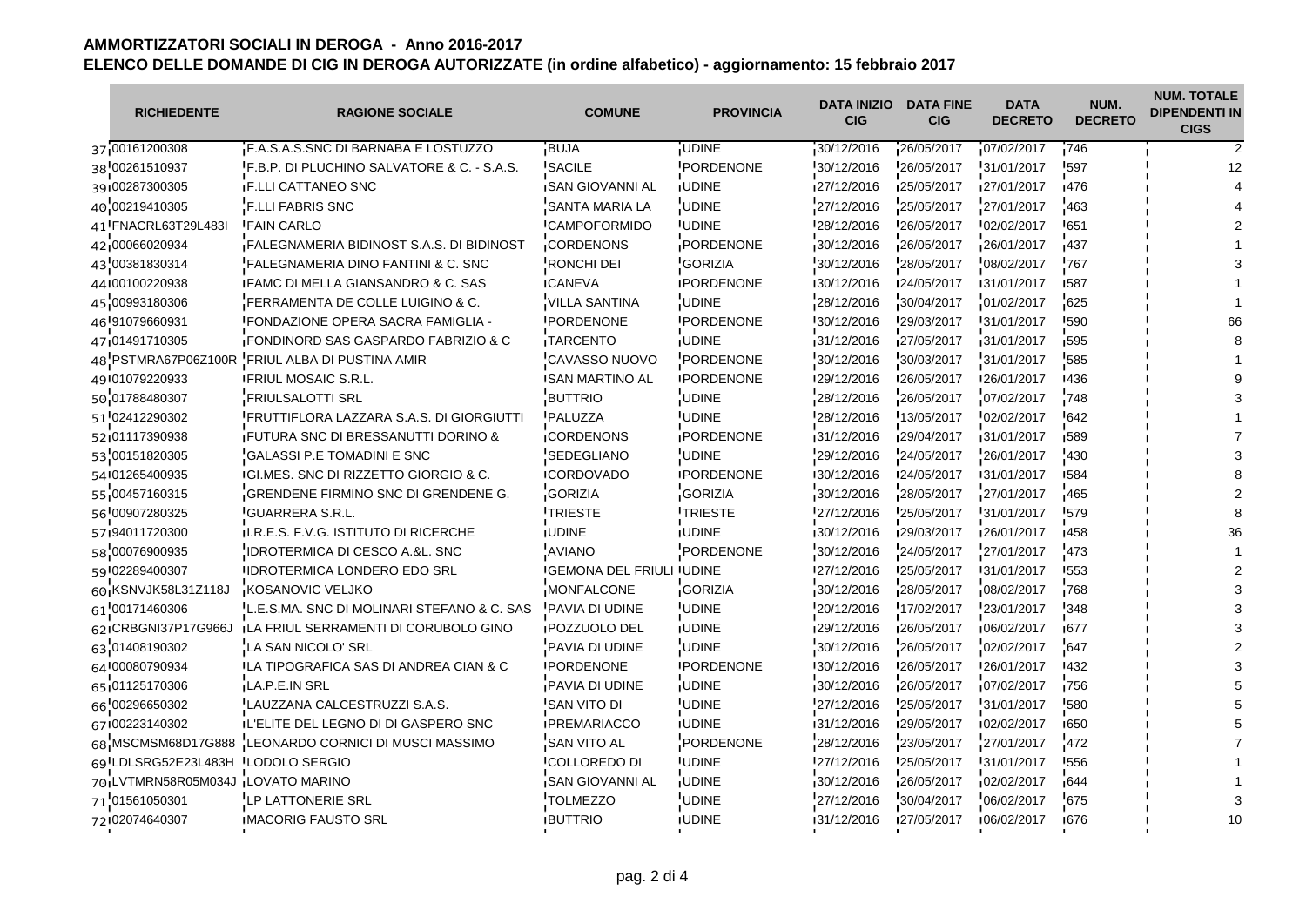| <b>RICHIEDENTE</b>                | <b>RAGIONE SOCIALE</b>                           | <b>COMUNE</b>                    | <b>PROVINCIA</b>  | <b>DATA INIZIO</b><br><b>CIG</b> | <b>DATA FINE</b><br><b>CIG</b> | <b>DATA</b><br><b>DECRETO</b> | NUM.<br><b>DECRETO</b> | <b>NUM. TOTALE</b><br><b>DIPENDENTI IN</b><br><b>CIGS</b> |
|-----------------------------------|--------------------------------------------------|----------------------------------|-------------------|----------------------------------|--------------------------------|-------------------------------|------------------------|-----------------------------------------------------------|
| 37 00161200308                    | F.A.S.A.S.SNC DI BARNABA E LOSTUZZO              | <b>BUJA</b>                      | <b>UDINE</b>      | 30/12/2016                       | 26/05/2017                     | 07/02/2017                    | $-746$                 |                                                           |
| 38 00261510937                    | F.B.P. DI PLUCHINO SALVATORE & C. - S.A.S.       | SACILE                           | PORDENONE         | 30/12/2016                       | 26/05/2017                     | 31/01/2017                    | '597                   | 12                                                        |
| 39:00287300305                    | <b>IF.LLI CATTANEO SNC</b>                       | <b>ISAN GIOVANNI AL</b>          | <b>IUDINE</b>     | 127/12/2016                      | 125/05/2017                    | 127/01/2017                   | ∎476                   |                                                           |
| 40 00219410305                    | F.LLI FABRIS SNC                                 | 'SANTA MARIA LA                  | <b>UDINE</b>      | 27/12/2016                       | 25/05/2017                     | 27/01/2017                    | 1463                   |                                                           |
| 41 FNACRL63T29L483I               | <b>IFAIN CARLO</b>                               | <b>ICAMPOFORMIDO</b>             | <b>IUDINE</b>     | 128/12/2016                      | 126/05/2017                    | 102/02/2017                   | -651                   |                                                           |
| 42,00066020934                    | <b>FALEGNAMERIA BIDINOST S.A.S. DI BIDINOST</b>  | <b>CORDENONS</b>                 | PORDENONE         | 30/12/2016                       | 26/05/2017                     | 26/01/2017                    | $-437$                 |                                                           |
| 43 00381830314                    | FALEGNAMERIA DINO FANTINI & C. SNC               | <b>RONCHI DEI</b>                | <b>GORIZIA</b>    | 30/12/2016                       | 28/05/2017                     | 08/02/2017                    | '767                   |                                                           |
| 44100100220938                    | IFAMC DI MELLA GIANSANDRO & C. SAS               | <b>ICANEVA</b>                   | <b>IPORDENONE</b> | 130/12/2016                      | 124/05/2017                    | 131/01/2017                   | 1587                   |                                                           |
| 45 00993180306                    | FERRAMENTA DE COLLE LUIGINO & C.                 | <b>VILLA SANTINA</b>             | <b>UDINE</b>      | 28/12/2016                       | 30/04/2017                     | 01/02/2017                    | $-625$                 |                                                           |
| 46 91079660931                    | FONDAZIONE OPERA SACRA FAMIGLIA -                | <b>PORDENONE</b>                 | <b>IPORDENONE</b> | 30/12/2016                       | 129/03/2017                    | 31/01/2017                    | <b>'590</b>            |                                                           |
| 47 01491710305                    | <b>FONDINORD SAS GASPARDO FABRIZIO &amp; C</b>   | <b>TARCENTO</b>                  | <b>UDINE</b>      | 31/12/2016                       | 27/05/2017                     | 31/01/2017                    | <b>595</b>             |                                                           |
| 48 PSTMRA67P06Z100R               | FRIUL ALBA DI PUSTINA AMIR                       | CAVASSO NUOVO                    | PORDENONE         | 30/12/2016                       | 30/03/2017                     | 31/01/2017                    | 585                    |                                                           |
| 49101079220933                    | <b>IFRIUL MOSAIC S.R.L.</b>                      | <b>ISAN MARTINO AL</b>           | <b>IPORDENONE</b> | 129/12/2016                      | 126/05/2017                    | 126/01/2017                   | ∎436                   |                                                           |
| 50 01788480307                    | <b>FRIULSALOTTI SRL</b>                          | <b>BUTTRIO</b>                   | <b>UDINE</b>      | 28/12/2016                       | 26/05/2017                     | 07/02/2017                    | 748                    |                                                           |
| 51 02412290302                    | FRUTTIFLORA LAZZARA S.A.S. DI GIORGIUTTI         | <b>PALUZZA</b>                   | <b>UDINE</b>      | 28/12/2016                       | 13/05/2017                     | 02/02/2017                    | -642                   |                                                           |
| 52 01117390938                    | FUTURA SNC DI BRESSANUTTI DORINO &               | <b>CORDENONS</b>                 | <b>PORDENONE</b>  | 31/12/2016                       | 29/04/2017                     | 31/01/2017                    | ∎589                   |                                                           |
| 53 00151820305                    | GALASSI P.E TOMADINI E SNC                       | <b>SEDEGLIANO</b>                | <b>UDINE</b>      | 29/12/2016                       | 24/05/2017                     | 26/01/2017                    | 430                    |                                                           |
| 54 01265400935                    | <b>IGI.MES. SNC DI RIZZETTO GIORGIO &amp; C.</b> | <b>ICORDOVADO</b>                | <b>IPORDENONE</b> | 130/12/2016                      | 124/05/2017                    | 131/01/2017                   | 1584                   |                                                           |
| 55 00457160315                    | GRENDENE FIRMINO SNC DI GRENDENE G.              | <b>GORIZIA</b>                   | <b>GORIZIA</b>    | 30/12/2016                       | 28/05/2017                     | 27/01/2017                    | $-465$                 |                                                           |
| 56'00907280325                    | <b>GUARRERA S.R.L.</b>                           | <b>TRIESTE</b>                   | <b>TRIESTE</b>    | 27/12/2016                       | 25/05/2017                     | 31/01/2017                    | '579                   |                                                           |
| 57 94011720300                    | <b>I.R.E.S. F.V.G. ISTITUTO DI RICERCHE</b>      | <b>JUDINE</b>                    | <b>IUDINE</b>     | 30/12/2016                       | 129/03/2017                    | 126/01/2017                   | ∎458                   | 36                                                        |
| 58 00076900935                    | IDROTERMICA DI CESCO A.&L. SNC                   | <b>AVIANO</b>                    | PORDENONE         | 30/12/2016                       | 24/05/2017                     | 27/01/2017                    | $473$                  |                                                           |
| 59 02289400307                    | <b>IIDROTERMICA LONDERO EDO SRL</b>              | <b>IGEMONA DEL FRIULI IUDINE</b> |                   | 127/12/2016                      | 125/05/2017                    | 131/01/2017                   | 1553                   |                                                           |
| 60 KSNVJK58L31Z118J               | <b>KOSANOVIC VELJKO</b>                          | MONFALCONE                       | <b>GORIZIA</b>    | 30/12/2016                       | 28/05/2017                     | 08/02/2017                    | $-768$                 |                                                           |
| 61 00171460306                    | L.E.S.MA. SNC DI MOLINARI STEFANO & C. SAS       | <b>PAVIA DI UDINE</b>            | <b>UDINE</b>      | 20/12/2016                       | 17/02/2017                     | 23/01/2017                    | $-348$                 |                                                           |
| 621CRBGNI37P17G966J               | <b>ILA FRIUL SERRAMENTI DI CORUBOLO GINO</b>     | <b>IPOZZUOLO DEL</b>             | <b>IUDINE</b>     | 129/12/2016                      | 126/05/2017                    | 06/02/2017                    | 1677                   |                                                           |
| 63 01408190302                    | LA SAN NICOLO' SRL                               | PAVIA DI UDINE                   | <b>UDINE</b>      | 30/12/2016                       | 26/05/2017                     | 02/02/2017                    | 1647                   |                                                           |
| 64 00080790934                    | LA TIPOGRAFICA SAS DI ANDREA CIAN & C            | <b>PORDENONE</b>                 | <b>IPORDENONE</b> | 30/12/2016                       | '26/05/2017                    | 126/01/2017                   | -432                   |                                                           |
| 65,01125170306                    | LA.P.E.IN SRL                                    | <b>PAVIA DI UDINE</b>            | <b>UDINE</b>      | 30/12/2016                       | 26/05/2017                     | 07/02/2017                    | ,756                   |                                                           |
| 66'00296650302                    | LAUZZANA CALCESTRUZZI S.A.S.                     | <b>SAN VITO DI</b>               | <b>UDINE</b>      | 27/12/2016                       | 25/05/2017                     | 31/01/2017                    | $-580$                 |                                                           |
| 67 00223140302                    | IL'ELITE DEL LEGNO DI DI GASPERO SNC             | <b>IPREMARIACCO</b>              | <b>IUDINE</b>     | 131/12/2016                      | 129/05/2017                    | 102/02/2017                   | ∎650                   |                                                           |
| 68 MSCMSM68D17G888                | LEONARDO CORNICI DI MUSCI MASSIMO                | <b>SAN VITO AL</b>               | PORDENONE         | 28/12/2016                       | 23/05/2017                     | 27/01/2017                    | -472                   |                                                           |
| 69 LDLSRG52E23L483H LODOLO SERGIO |                                                  | <b>COLLOREDO DI</b>              | <b>UDINE</b>      | 27/12/2016                       | 25/05/2017                     | 31/01/2017                    | '556                   |                                                           |
| 70 LVTMRN58R05M034J LOVATO MARINO |                                                  | <b>SAN GIOVANNI AL</b>           | <b>UDINE</b>      | 30/12/2016                       | 26/05/2017                     | 02/02/2017                    | 644                    |                                                           |
| 71 01561050301                    | LP LATTONERIE SRL                                | <b>TOLMEZZO</b>                  | <b>UDINE</b>      | 27/12/2016                       | 30/04/2017                     | 06/02/2017                    | .675                   |                                                           |
| 72 02074640307                    | <b>IMACORIG FAUSTO SRL</b>                       | <b>IBUTTRIO</b>                  | <b>IUDINE</b>     | 131/12/2016                      | 127/05/2017                    | 106/02/2017                   | -676                   | 10                                                        |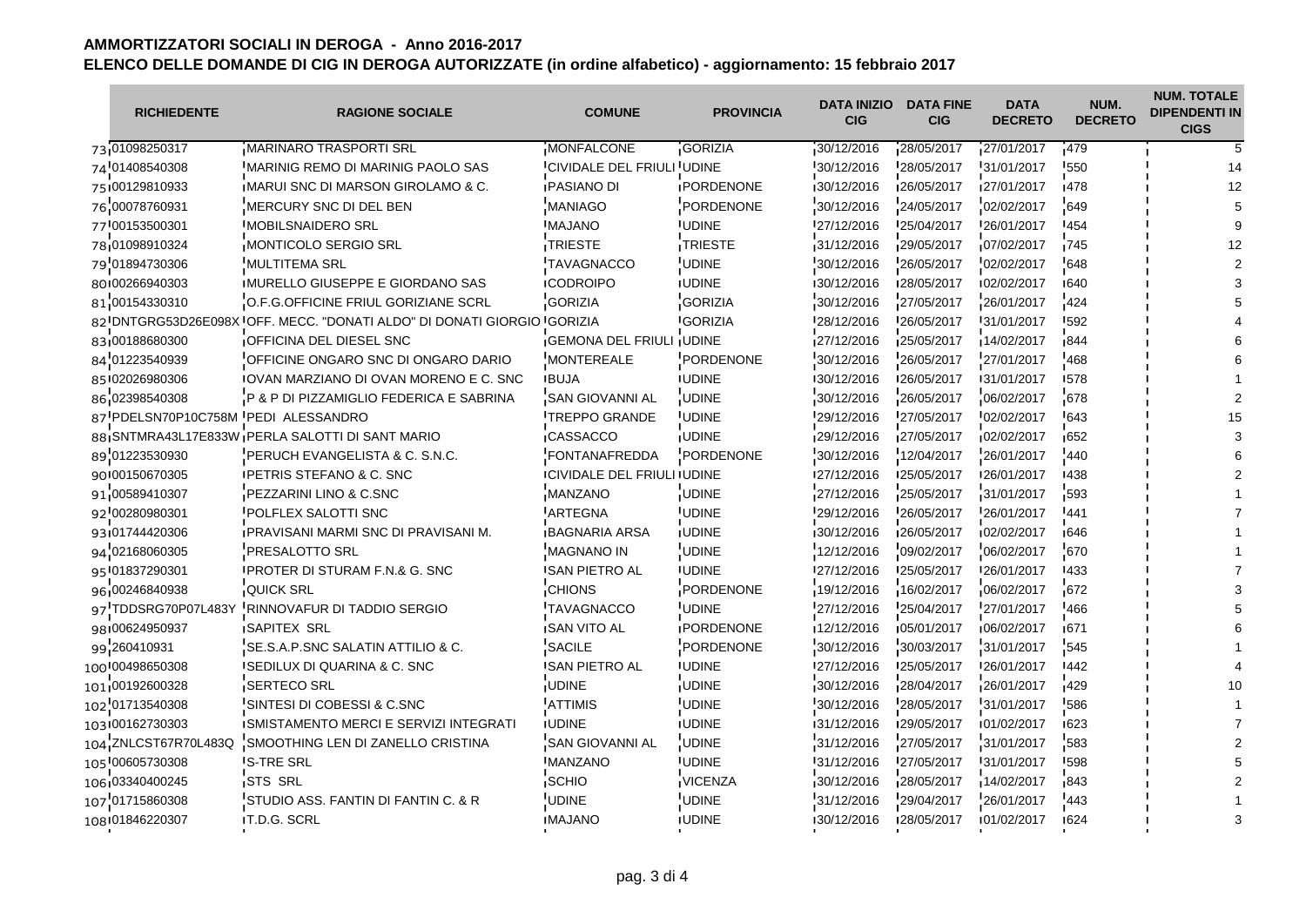| <b>RICHIEDENTE</b>                  | <b>RAGIONE SOCIALE</b>                                                   | <b>COMUNE</b>                      | <b>PROVINCIA</b>  | <b>DATA INIZIO</b><br><b>CIG</b> | <b>DATA FINE</b><br><b>CIG</b> | <b>DATA</b><br><b>DECRETO</b> | NUM.<br><b>DECRETO</b> | <b>NUM. TOTALE</b><br><b>DIPENDENTI IN</b><br><b>CIGS</b> |
|-------------------------------------|--------------------------------------------------------------------------|------------------------------------|-------------------|----------------------------------|--------------------------------|-------------------------------|------------------------|-----------------------------------------------------------|
| 73.01098250317                      | <b>MARINARO TRASPORTI SRL</b>                                            | MONFALCONE                         | <b>GORIZIA</b>    | 30/12/2016                       | 28/05/2017                     | 27/01/2017                    | $-479$                 |                                                           |
| 74'01408540308                      | MARINIG REMO DI MARINIG PAOLO SAS                                        | CIVIDALE DEL FRIULI UDINE          |                   | 30/12/2016                       | 28/05/2017                     | 31/01/2017                    | '550                   | 14                                                        |
| 75100129810933                      | IMARUI SNC DI MARSON GIROLAMO & C.                                       | <b>IPASIANO DI</b>                 | <b>IPORDENONE</b> | 130/12/2016                      | 126/05/2017                    | 127/01/2017                   | 1478                   | 12                                                        |
| 76'00078760931                      | MERCURY SNC DI DEL BEN                                                   | <b>MANIAGO</b>                     | PORDENONE         | 30/12/2016                       | 24/05/2017                     | 02/02/2017                    | 649                    |                                                           |
| 77 00153500301                      | <b>IMOBILSNAIDERO SRL</b>                                                | <b>IMAJANO</b>                     | <b>IUDINE</b>     | 127/12/2016                      | 125/04/2017                    | 126/01/2017                   | -454                   |                                                           |
| 78 01098910324                      | MONTICOLO SERGIO SRL                                                     | TRIESTE                            | TRIESTE           | 31/12/2016                       | 29/05/2017                     | 07/02/2017                    | $-745$                 | 12                                                        |
| 79 01894730306                      | <b>MULTITEMA SRL</b>                                                     | <b>TAVAGNACCO</b>                  | <b>UDINE</b>      | 30/12/2016                       | 26/05/2017                     | 02/02/2017                    | $-648$                 |                                                           |
| 80100266940303                      | IMURELLO GIUSEPPE E GIORDANO SAS                                         | <b>ICODROIPO</b>                   | <b>IUDINE</b>     | 130/12/2016                      | 128/05/2017                    | 02/02/2017                    | ∎640                   |                                                           |
| 81 00154330310                      | O.F.G.OFFICINE FRIUL GORIZIANE SCRL                                      | <b>GORIZIA</b>                     | <b>GORIZIA</b>    | 30/12/2016                       | 27/05/2017                     | 26/01/2017                    | 424                    |                                                           |
|                                     | 82 DNTGRG53D26E098X IOFF. MECC. "DONATI ALDO" DI DONATI GIORGIO IGORIZIA |                                    | <b>GORIZIA</b>    | 128/12/2016                      | 126/05/2017                    | 31/01/2017                    | <b>'592</b>            |                                                           |
| 83,00188680300                      | OFFICINA DEL DIESEL SNC                                                  | GEMONA DEL FRIULI UDINE            |                   | 27/12/2016                       | 25/05/2017                     | 14/02/2017                    | -844                   |                                                           |
| 84 01223540939                      | OFFICINE ONGARO SNC DI ONGARO DARIO                                      | <b>MONTEREALE</b>                  | PORDENONE         | 30/12/2016                       | 26/05/2017                     | 27/01/2017                    | 468                    |                                                           |
| 85102026980306                      | IOVAN MARZIANO DI OVAN MORENO E C. SNC                                   | <b>IBUJA</b>                       | <b>IUDINE</b>     | 130/12/2016                      | 126/05/2017                    | 131/01/2017                   | 1578                   |                                                           |
| 86 02398540308                      | P & P DI PIZZAMIGLIO FEDERICA E SABRINA                                  | SAN GIOVANNI AL                    | <b>UDINE</b>      | 30/12/2016                       | 26/05/2017                     | 06/02/2017                    | 678                    |                                                           |
| 87 PDELSN70P10C758M PEDI ALESSANDRO |                                                                          | <b>TREPPO GRANDE</b>               | <b>UDINE</b>      | 29/12/2016                       | 27/05/2017                     | 02/02/2017                    | 643                    |                                                           |
|                                     | 88 SNTMRA43L17E833W PERLA SALOTTI DI SANT MARIO                          | <b>CASSACCO</b>                    | <b>UDINE</b>      | 29/12/2016                       | 27/05/2017                     | 02/02/2017                    | $-652$                 |                                                           |
| 89 01223530930                      | PERUCH EVANGELISTA & C. S.N.C.                                           | <b>FONTANAFREDDA</b>               | PORDENONE         | 30/12/2016                       | 12/04/2017                     | 26/01/2017                    | 440                    |                                                           |
| 90100150670305                      | <b>IPETRIS STEFANO &amp; C. SNC</b>                                      | <b>ICIVIDALE DEL FRIULI IUDINE</b> |                   | 127/12/2016                      | 125/05/2017                    | 126/01/2017                   | 1438                   |                                                           |
| 91 00589410307                      | PEZZARINI LINO & C.SNC                                                   | <b>MANZANO</b>                     | <b>UDINE</b>      | 27/12/2016                       | 25/05/2017                     | 31/01/2017                    | $-593$                 |                                                           |
| 92'00280980301                      | <b>POLFLEX SALOTTI SNC</b>                                               | <b>ARTEGNA</b>                     | <b>UDINE</b>      | 29/12/2016                       | 26/05/2017                     | 26/01/2017                    | $-441$                 |                                                           |
| 93:01744420306                      | PRAVISANI MARMI SNC DI PRAVISANI M.                                      | <b>BAGNARIA ARSA</b>               | <b>IUDINE</b>     | 30/12/2016                       | 126/05/2017                    | 02/02/2017                    | ∎646                   |                                                           |
| 94 02168060305                      | PRESALOTTO SRL                                                           | MAGNANO IN                         | <b>UDINE</b>      | 12/12/2016                       | 09/02/2017                     | 06/02/2017                    | '670                   |                                                           |
| 95 01837290301                      | <b>IPROTER DI STURAM F.N.&amp; G. SNC</b>                                | <b>ISAN PIETRO AL</b>              | <b>UDINE</b>      | 127/12/2016                      | 125/05/2017                    | 126/01/2017                   | 1433                   |                                                           |
| 96,00246840938                      | <b>QUICK SRL</b>                                                         | <b>CHIONS</b>                      | PORDENONE         | 19/12/2016                       | 16/02/2017                     | 06/02/2017                    | 672                    |                                                           |
| 97 TDDSRG70P07L483Y                 | RINNOVAFUR DI TADDIO SERGIO                                              | <b>TAVAGNACCO</b>                  | <b>UDINE</b>      | 27/12/2016                       | 25/04/2017                     | 27/01/2017                    | 466                    |                                                           |
| 98 00624950937                      | <b>ISAPITEX SRL</b>                                                      | <b>ISAN VITO AL</b>                | <b>IPORDENONE</b> | 12/12/2016                       | ■05/01/2017                    | 106/02/2017                   | ∎671                   |                                                           |
| 99 260410931                        | SE.S.A.P.SNC SALATIN ATTILIO & C.                                        | <b>SACILE</b>                      | PORDENONE         | 30/12/2016                       | 30/03/2017                     | 31/01/2017                    | 545                    |                                                           |
| 100'00498650308                     | <b>ISEDILUX DI QUARINA &amp; C. SNC</b>                                  | <b>SAN PIETRO AL</b>               | <b>IUDINE</b>     | 27/12/2016                       | '25/05/2017                    | 26/01/2017                    | <b>1442</b>            |                                                           |
| 101 00192600328                     | SERTECO SRL                                                              | <b>JUDINE</b>                      | <b>UDINE</b>      | 30/12/2016                       | 28/04/2017                     | 26/01/2017                    | <b>429</b>             |                                                           |
| 102 01713540308                     | SINTESI DI COBESSI & C.SNC                                               | <b>ATTIMIS</b>                     | <b>UDINE</b>      | 30/12/2016                       | 28/05/2017                     | 31/01/2017                    | 586                    |                                                           |
| 103 00162730303                     | <b>ISMISTAMENTO MERCI E SERVIZI INTEGRATI</b>                            | <b>IUDINE</b>                      | <b>IUDINE</b>     | 131/12/2016                      | 129/05/2017                    | 101/02/2017                   | 1623                   |                                                           |
| 104 ZNLCST67R70L483Q                | SMOOTHING LEN DI ZANELLO CRISTINA                                        | SAN GIOVANNI AL                    | <b>UDINE</b>      | 31/12/2016                       | 27/05/2017                     | 31/01/2017                    | 583                    |                                                           |
| 105 00605730308                     | <b>S-TRE SRL</b>                                                         | <b>MANZANO</b>                     | <b>UDINE</b>      | 31/12/2016                       | 27/05/2017                     | 31/01/2017                    | '598                   |                                                           |
| 106 03340400245                     | <b>STS SRL</b>                                                           | SCHIO                              | <b>VICENZA</b>    | 30/12/2016                       | 28/05/2017                     | 14/02/2017                    | ∎843                   |                                                           |
| 107 01715860308                     | STUDIO ASS. FANTIN DI FANTIN C. & R                                      | <b>UDINE</b>                       | <b>UDINE</b>      | 31/12/2016                       | 29/04/2017                     | 26/01/2017                    | 443                    |                                                           |
| 108 01846220307                     | <b>IT.D.G. SCRL</b>                                                      | <b>IMAJANO</b>                     | <b>IUDINE</b>     | 30/12/2016                       | 128/05/2017                    | 101/02/2017                   | -624                   |                                                           |